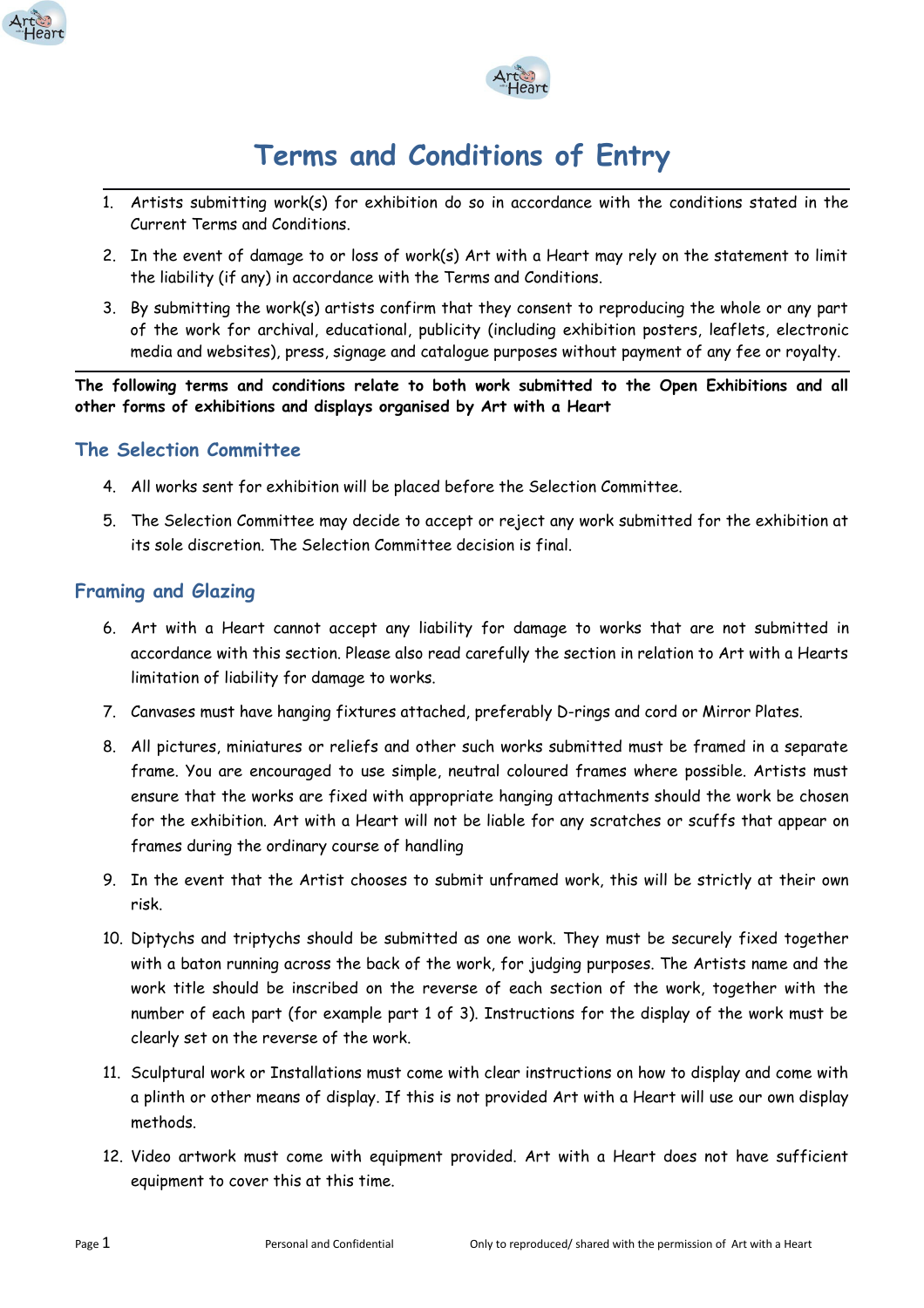



# **Terms and Conditions of Entry**

- 1. Artists submitting work(s) for exhibition do so in accordance with the conditions stated in the Current Terms and Conditions.
- 2. In the event of damage to or loss of work(s) Art with a Heart may rely on the statement to limit the liability (if any) in accordance with the Terms and Conditions.
- 3. By submitting the work(s) artists confirm that they consent to reproducing the whole or any part of the work for archival, educational, publicity (including exhibition posters, leaflets, electronic media and websites), press, signage and catalogue purposes without payment of any fee or royalty.

**The following terms and conditions relate to both work submitted to the Open Exhibitions and all other forms of exhibitions and displays organised by Art with a Heart**

## **The Selection Committee**

- 4. All works sent for exhibition will be placed before the Selection Committee.
- 5. The Selection Committee may decide to accept or reject any work submitted for the exhibition at its sole discretion. The Selection Committee decision is final.

## **Framing and Glazing**

- 6. Art with a Heart cannot accept any liability for damage to works that are not submitted in accordance with this section. Please also read carefully the section in relation to Art with a Hearts limitation of liability for damage to works.
- 7. Canvases must have hanging fixtures attached, preferably D-rings and cord or Mirror Plates.
- 8. All pictures, miniatures or reliefs and other such works submitted must be framed in a separate frame. You are encouraged to use simple, neutral coloured frames where possible. Artists must ensure that the works are fixed with appropriate hanging attachments should the work be chosen for the exhibition. Art with a Heart will not be liable for any scratches or scuffs that appear on frames during the ordinary course of handling
- 9. In the event that the Artist chooses to submit unframed work, this will be strictly at their own risk.
- 10. Diptychs and triptychs should be submitted as one work. They must be securely fixed together with a baton running across the back of the work, for judging purposes. The Artists name and the work title should be inscribed on the reverse of each section of the work, together with the number of each part (for example part 1 of 3). Instructions for the display of the work must be clearly set on the reverse of the work.
- 11. Sculptural work or Installations must come with clear instructions on how to display and come with a plinth or other means of display. If this is not provided Art with a Heart will use our own display methods.
- 12. Video artwork must come with equipment provided. Art with a Heart does not have sufficient equipment to cover this at this time.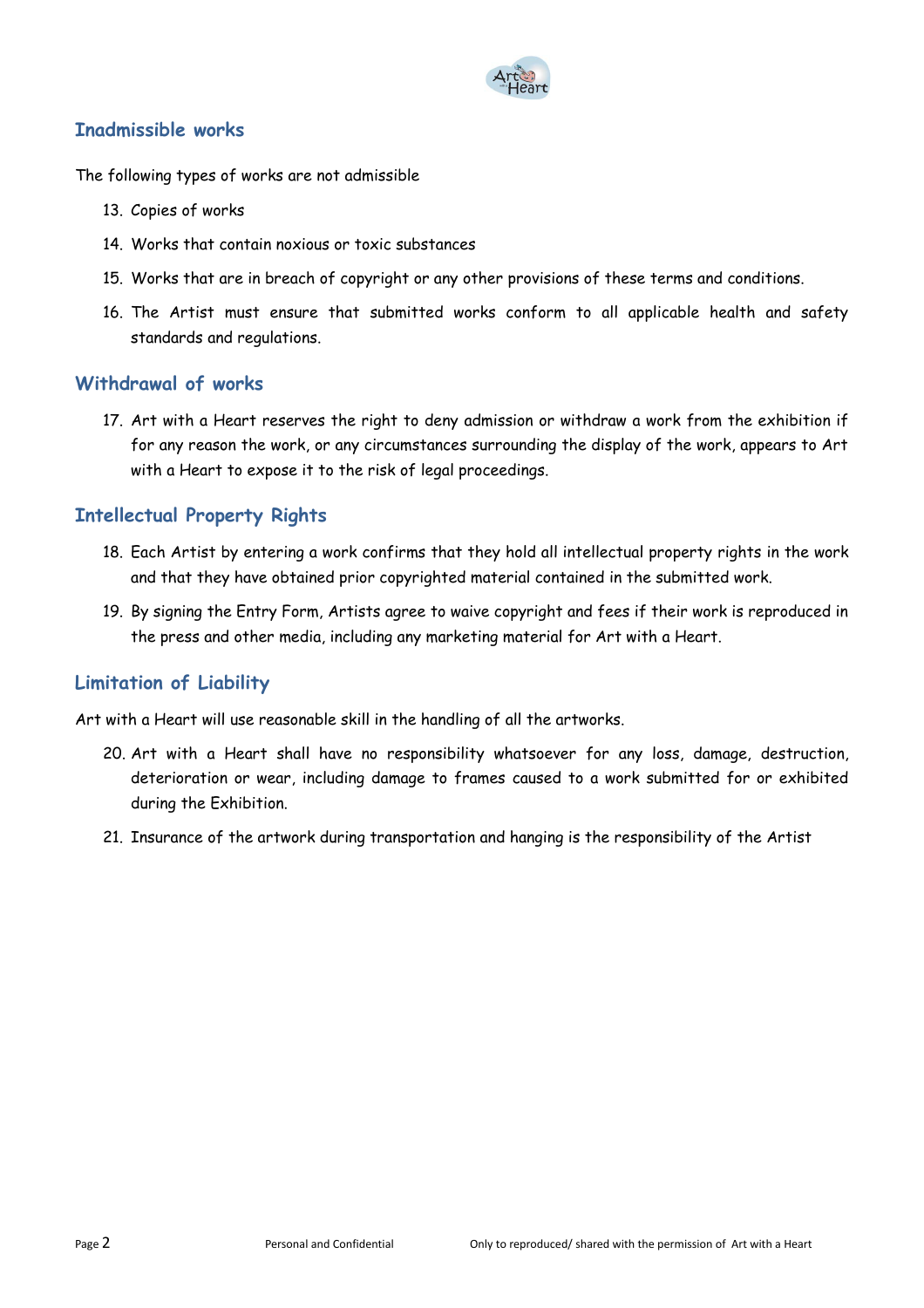

## **Inadmissible works**

The following types of works are not admissible

- 13. Copies of works
- 14. Works that contain noxious or toxic substances
- 15. Works that are in breach of copyright or any other provisions of these terms and conditions.
- 16. The Artist must ensure that submitted works conform to all applicable health and safety standards and regulations.

#### **Withdrawal of works**

17. Art with a Heart reserves the right to deny admission or withdraw a work from the exhibition if for any reason the work, or any circumstances surrounding the display of the work, appears to Art with a Heart to expose it to the risk of legal proceedings.

## **Intellectual Property Rights**

- 18. Each Artist by entering a work confirms that they hold all intellectual property rights in the work and that they have obtained prior copyrighted material contained in the submitted work.
- 19. By signing the Entry Form, Artists agree to waive copyright and fees if their work is reproduced in the press and other media, including any marketing material for Art with a Heart.

## **Limitation of Liability**

Art with a Heart will use reasonable skill in the handling of all the artworks.

- 20. Art with a Heart shall have no responsibility whatsoever for any loss, damage, destruction, deterioration or wear, including damage to frames caused to a work submitted for or exhibited during the Exhibition.
- 21. Insurance of the artwork during transportation and hanging is the responsibility of the Artist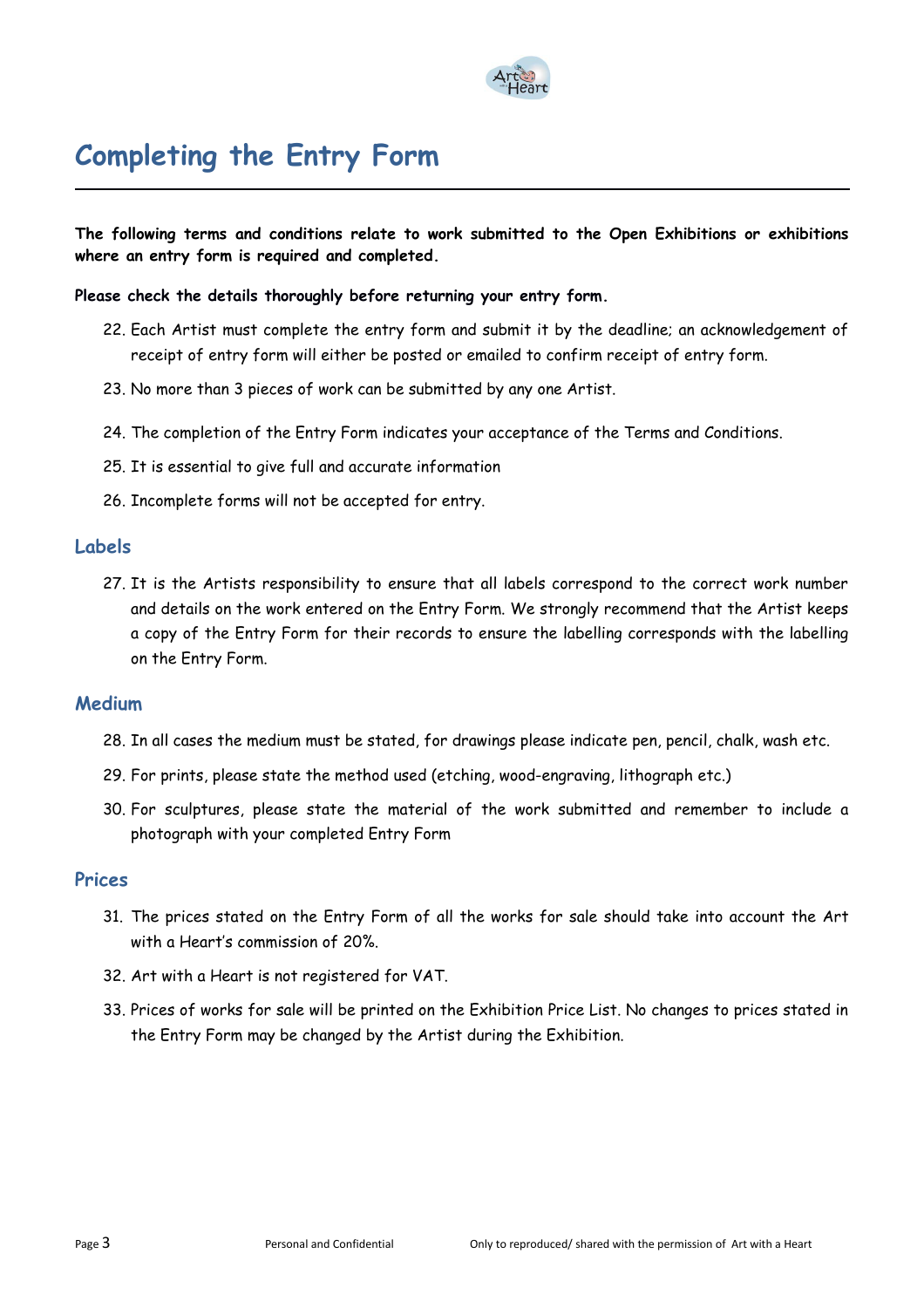

# **Completing the Entry Form**

**The following terms and conditions relate to work submitted to the Open Exhibitions or exhibitions where an entry form is required and completed.**

#### **Please check the details thoroughly before returning your entry form.**

- 22. Each Artist must complete the entry form and submit it by the deadline; an acknowledgement of receipt of entry form will either be posted or emailed to confirm receipt of entry form.
- 23. No more than 3 pieces of work can be submitted by any one Artist.
- 24. The completion of the Entry Form indicates your acceptance of the Terms and Conditions.
- 25. It is essential to give full and accurate information
- 26. Incomplete forms will not be accepted for entry.

#### **Labels**

27. It is the Artists responsibility to ensure that all labels correspond to the correct work number and details on the work entered on the Entry Form. We strongly recommend that the Artist keeps a copy of the Entry Form for their records to ensure the labelling corresponds with the labelling on the Entry Form.

#### **Medium**

- 28. In all cases the medium must be stated, for drawings please indicate pen, pencil, chalk, wash etc.
- 29. For prints, please state the method used (etching, wood-engraving, lithograph etc.)
- 30. For sculptures, please state the material of the work submitted and remember to include a photograph with your completed Entry Form

#### **Prices**

- 31. The prices stated on the Entry Form of all the works for sale should take into account the Art with a Heart's commission of 20%.
- 32. Art with a Heart is not registered for VAT.
- 33. Prices of works for sale will be printed on the Exhibition Price List. No changes to prices stated in the Entry Form may be changed by the Artist during the Exhibition.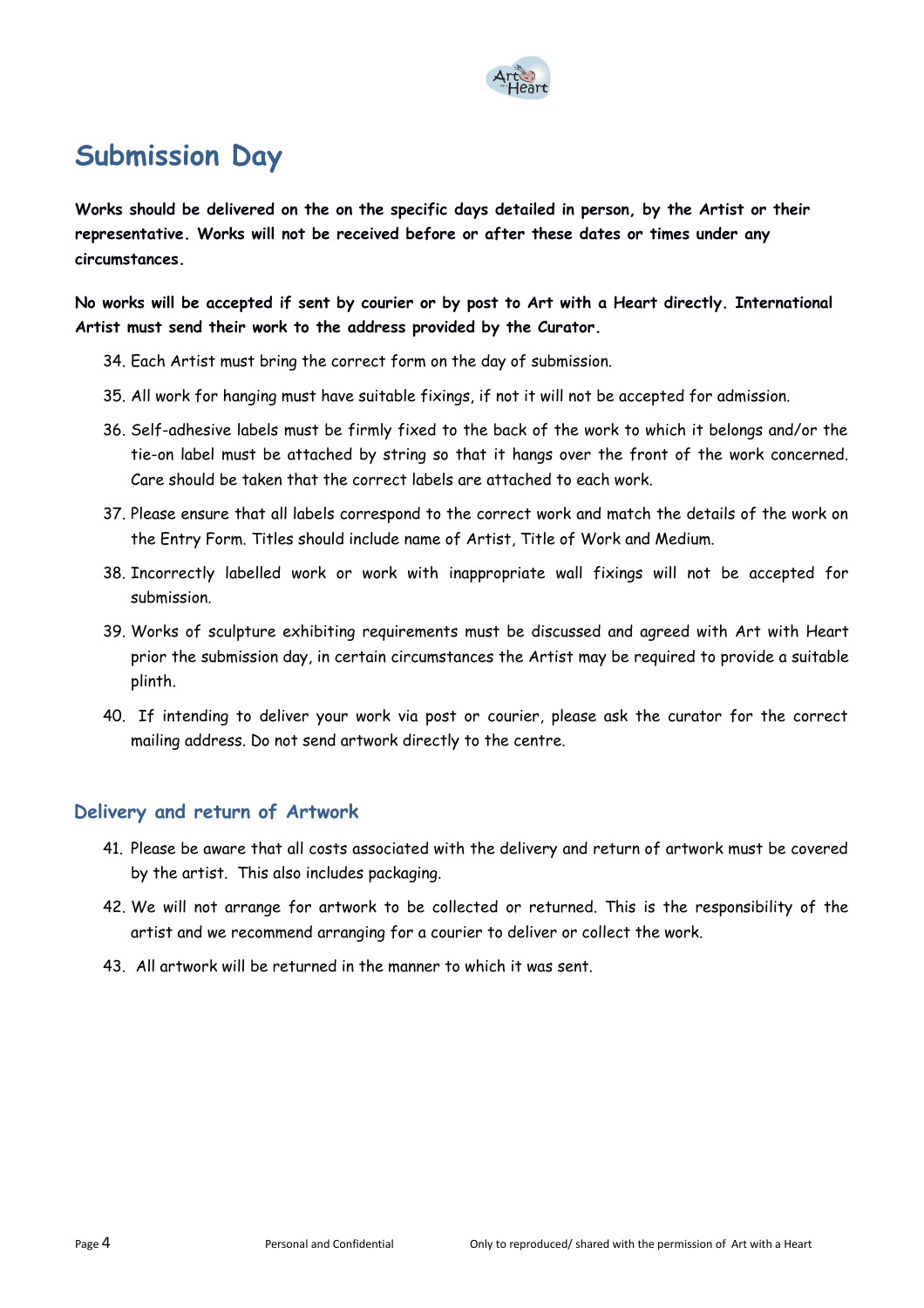

## **Submission Day**

**Works should be delivered on the on the specific days detailed in person, by the Artist or their representative. Works will not be received before or after these dates or times under any circumstances.** 

**No works will be accepted if sent by courier or by post to Art with a Heart directly. International Artist must send their work to the address provided by the Curator.** 

- 34. Each Artist must bring the correct form on the day of submission.
- 35. All work for hanging must have suitable fixings, if not it will not be accepted for admission.
- 36. Self-adhesive labels must be firmly fixed to the back of the work to which it belongs and/or the tie-on label must be attached by string so that it hangs over the front of the work concerned. Care should be taken that the correct labels are attached to each work.
- 37. Please ensure that all labels correspond to the correct work and match the details of the work on the Entry Form. Titles should include name of Artist, Title of Work and Medium.
- 38. Incorrectly labelled work or work with inappropriate wall fixings will not be accepted for submission.
- 39. Works of sculpture exhibiting requirements must be discussed and agreed with Art with Heart prior the submission day, in certain circumstances the Artist may be required to provide a suitable plinth.
- 40. If intending to deliver your work via post or courier, please ask the curator for the correct mailing address. Do not send artwork directly to the centre.

## **Delivery and return of Artwork**

- 41. Please be aware that all costs associated with the delivery and return of artwork must be covered by the artist. This also includes packaging.
- 42. We will not arrange for artwork to be collected or returned. This is the responsibility of the artist and we recommend arranging for a courier to deliver or collect the work.
- 43. All artwork will be returned in the manner to which it was sent.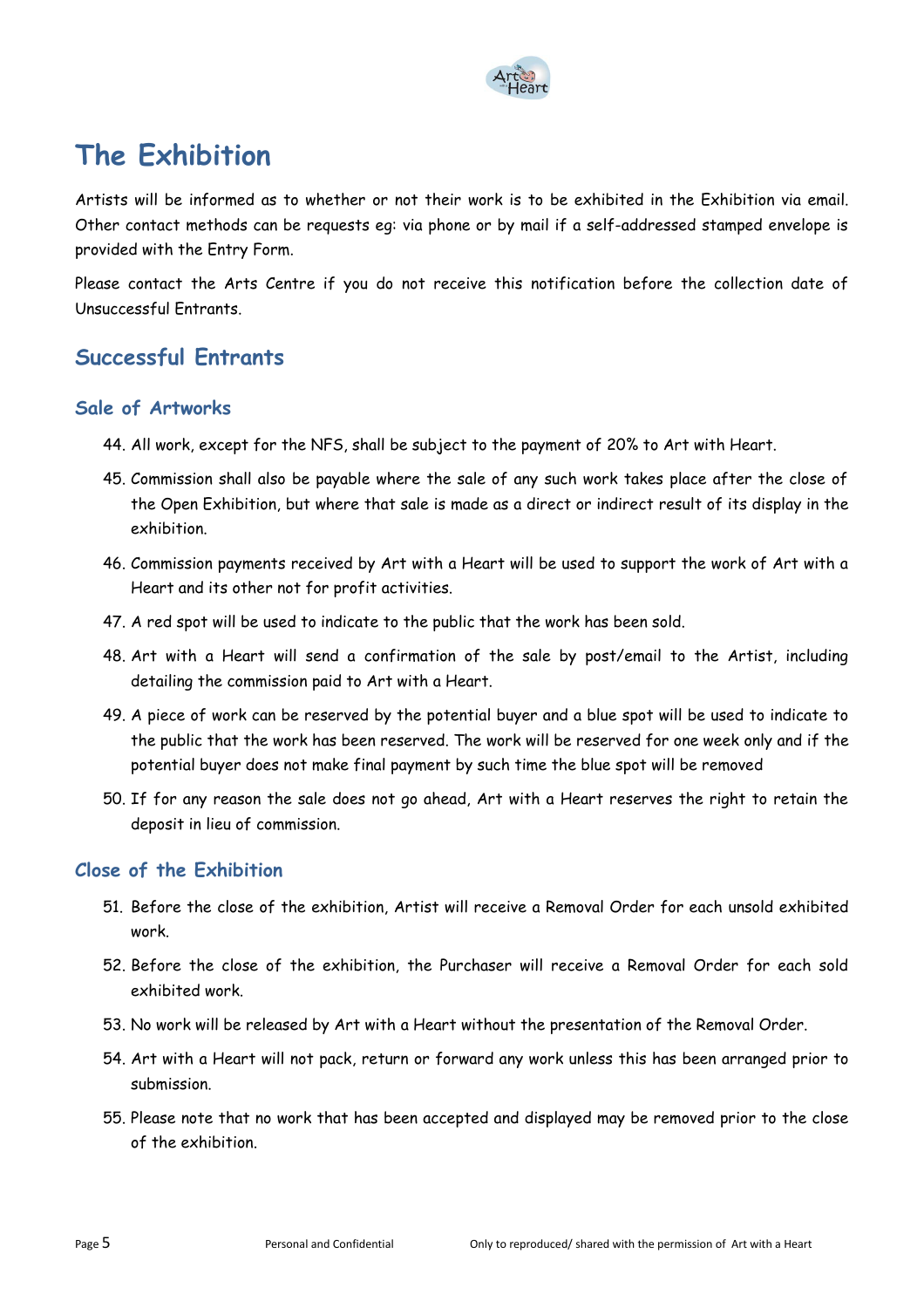

# **The Exhibition**

Artists will be informed as to whether or not their work is to be exhibited in the Exhibition via email. Other contact methods can be requests eg: via phone or by mail if a self-addressed stamped envelope is provided with the Entry Form.

Please contact the Arts Centre if you do not receive this notification before the collection date of Unsuccessful Entrants.

## **Successful Entrants**

### **Sale of Artworks**

- 44. All work, except for the NFS, shall be subject to the payment of 20% to Art with Heart.
- 45. Commission shall also be payable where the sale of any such work takes place after the close of the Open Exhibition, but where that sale is made as a direct or indirect result of its display in the exhibition.
- 46. Commission payments received by Art with a Heart will be used to support the work of Art with a Heart and its other not for profit activities.
- 47. A red spot will be used to indicate to the public that the work has been sold.
- 48. Art with a Heart will send a confirmation of the sale by post/email to the Artist, including detailing the commission paid to Art with a Heart.
- 49. A piece of work can be reserved by the potential buyer and a blue spot will be used to indicate to the public that the work has been reserved. The work will be reserved for one week only and if the potential buyer does not make final payment by such time the blue spot will be removed
- 50. If for any reason the sale does not go ahead, Art with a Heart reserves the right to retain the deposit in lieu of commission.

## **Close of the Exhibition**

- 51. Before the close of the exhibition, Artist will receive a Removal Order for each unsold exhibited work.
- 52. Before the close of the exhibition, the Purchaser will receive a Removal Order for each sold exhibited work.
- 53. No work will be released by Art with a Heart without the presentation of the Removal Order.
- 54. Art with a Heart will not pack, return or forward any work unless this has been arranged prior to submission.
- 55. Please note that no work that has been accepted and displayed may be removed prior to the close of the exhibition.